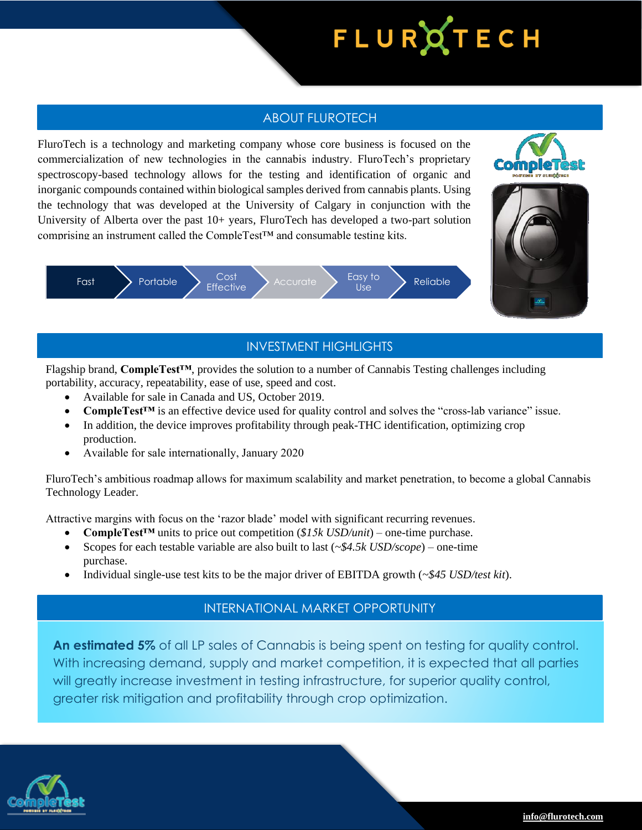# FLURQTECH

### ABOUT FLUROTECH

FluroTech is a technology and marketing company whose core business is focused on the commercialization of new technologies in the cannabis industry. FluroTech's proprietary spectroscopy-based technology allows for the testing and identification of organic and inorganic compounds contained within biological samples derived from cannabis plants. Using the technology that was developed at the University of Calgary in conjunction with the University of Alberta over the past 10+ years, FluroTech has developed a two-part solution comprising an instrument called the CompleTest<sup> $TM$ </sup> and consumable testing kits.







## INVESTMENT HIGHLIGHTS

Flagship brand, **CompleTest™**, provides the solution to a number of Cannabis Testing challenges including portability, accuracy, repeatability, ease of use, speed and cost.

- Available for sale in Canada and US, October 2019.
- **CompleTest<sup>™</sup> is an effective device used for quality control and solves the "cross-lab variance" issue.**
- In addition, the device improves profitability through peak-THC identification, optimizing crop production.
- Available for sale internationally, January 2020

FluroTech's ambitious roadmap allows for maximum scalability and market penetration, to become a global Cannabis Technology Leader.

Attractive margins with focus on the 'razor blade' model with significant recurring revenues.

- **CompleTest™** units to price out competition (*\$15k USD/unit*) one-time purchase.
- Scopes for each testable variable are also built to last (*~\$4.5k USD/scope*) one-time purchase.
- Individual single-use test kits to be the major driver of EBITDA growth (*~\$45 USD/test kit*).

#### INTERNATIONAL MARKET OPPORTUNITY

**An estimated 5%** of all LP sales of Cannabis is being spent on testing for quality control. With increasing demand, supply and market competition, it is expected that all parties will greatly increase investment in testing infrastructure, for superior quality control, greater risk mitigation and profitability through crop optimization.

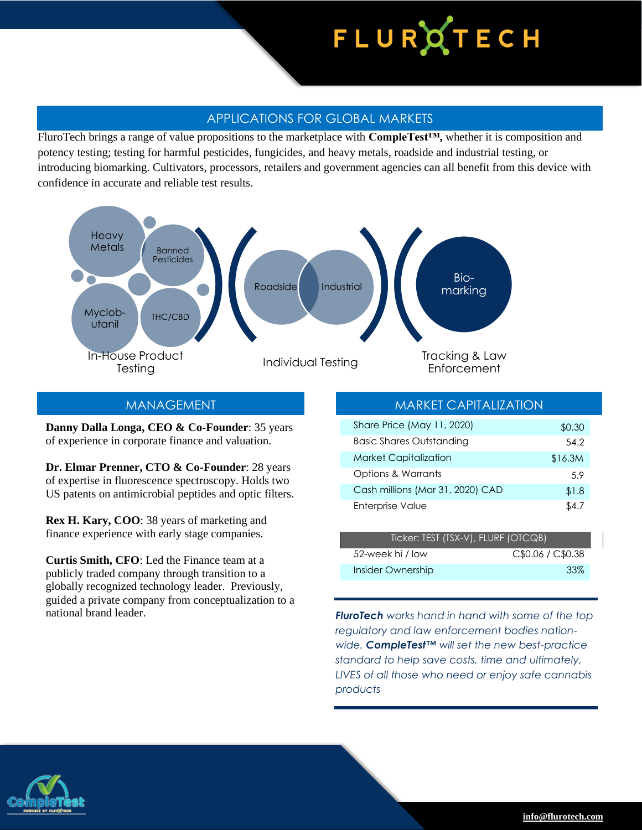# FLURQTECH

#### APPLICATIONS FOR GLOBAL MARKETS

FluroTech brings a range of value propositions to the marketplace with **CompleTest™,** whether it is composition and potency testing; testing for harmful pesticides, fungicides, and heavy metals, roadside and industrial testing, or introducing biomarking. Cultivators, processors, retailers and government agencies can all benefit from this device with confidence in accurate and reliable test results.



**Danny Dalla Longa, CEO & Co-Founder**: 35 years of experience in corporate finance and valuation.

**Dr. Elmar Prenner, CTO & Co-Founder**: 28 years of expertise in fluorescence spectroscopy. Holds two US patents on antimicrobial peptides and optic filters.

**Rex H. Kary, COO**: 38 years of marketing and finance experience with early stage companies.

**Curtis Smith, CFO**: Led the Finance team at a publicly traded company through transition to a globally recognized technology leader. Previously, guided a private company from conceptualization to a national brand leader. *FluroTech works hand in hand with some of the top* 

### *(in C\$ millions, except per share)* MANAGEMENT MARKET CAPITALIZATION

| Share Price (May 11, 2020)       | \$0.30  |
|----------------------------------|---------|
| <b>Basic Shares Outstanding</b>  | 54.2    |
| <b>Market Capitalization</b>     | \$16.3M |
| Options & Warrants               | 5.9     |
| Cash millions (Mar 31, 2020) CAD | \$1.8   |
| Enterprise Value                 | S4 7    |

| Ticker: TEST (TSX-V), FLURF (OTCQB) |                   |
|-------------------------------------|-------------------|
| 52-week hi / low                    | C\$0.06 / C\$0.38 |
| Insider Ownership                   | -33%              |

*regulatory and law enforcement bodies nationwide. CompleTest™ will set the new best-practice standard to help save costs, time and ultimately, LIVES of all those who need or enjoy safe cannabis products*